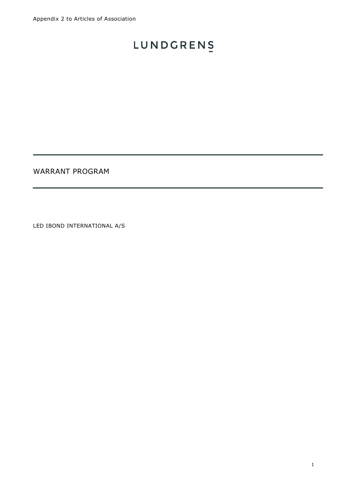WARRANT PROGRAM

LED IBOND INTERNATIONAL A/S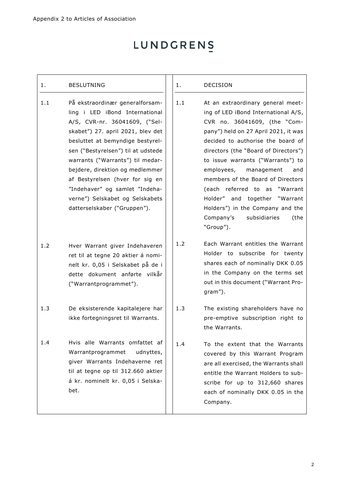#### 1. BESLUTNING

- 1.1 På ekstraordinær generalforsamling i LED iBond International A/S, CVR-nr. 36041609, ("Selskabet") 27. april 2021, blev det besluttet at bemyndige bestyrelsen ("Bestyrelsen") til at udstede warrants ("Warrants") til medarbejdere, direktion og medlemmer af Bestyrelsen (hver for sig en "Indehaver" og samlet "Indehaverne") Selskabet og Selskabets datterselskaber ("Gruppen").
- 1.2 Hver Warrant giver Indehaveren ret til at tegne 20 aktier á nominelt kr. 0,05 i Selskabet på de i dette dokument anførte vilkår ("Warrantprogrammet").
- 1.3 De eksisterende kapitalejere har ikke fortegningsret til Warrants.
- 1.4 Hvis alle Warrants omfattet af Warrantprogrammet udnyttes, giver Warrants Indehaverne ret til at tegne op til 312.660 aktier á kr. nominelt kr. 0,05 i Selskabet.

#### 1. DECISION

- 1.1 At an extraordinary general meeting of LED iBond International A/S, CVR no. 36041609, (the "Company") held on 27 April 2021, it was decided to authorise the board of directors (the "Board of Directors") to issue warrants ("Warrants") to employees, management and members of the Board of Directors (each referred to as "Warrant Holder" and together "Warrant Holders") in the Company and the Company's subsidiaries (the "Group").
- 1.2 Each Warrant entitles the Warrant Holder to subscribe for twenty shares each of nominally DKK 0.05 in the Company on the terms set out in this document ("Warrant Program").
- 1.3 The existing shareholders have no pre-emptive subscription right to the Warrants.
- 1.4 To the extent that the Warrants covered by this Warrant Program are all exercised, the Warrants shall entitle the Warrant Holders to subscribe for up to 312,660 shares each of nominally DKK 0.05 in the Company.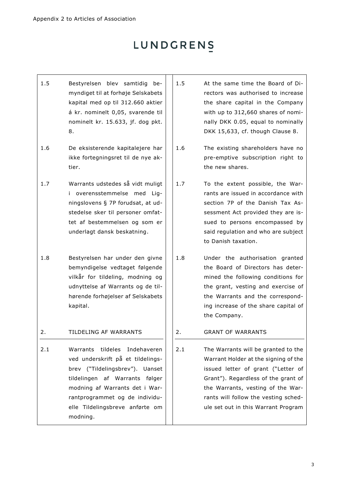- 1.5 Bestyrelsen blev samtidig bemyndiget til at forhøje Selskabets kapital med op til 312.660 aktier á kr. nominelt 0,05, svarende til nominelt kr. 15.633, jf. dog pkt. [8.](#page-6-0)
- 1.6 De eksisterende kapitalejere har ikke fortegningsret til de nye aktier.
- 1.7 Warrants udstedes så vidt muligt i overensstemmelse med Ligningslovens § 7P forudsat, at udstedelse sker til personer omfattet af bestemmelsen og som er underlagt dansk beskatning.
- 1.8 Bestyrelsen har under den givne bemyndigelse vedtaget følgende vilkår for tildeling, modning og udnyttelse af Warrants og de tilhørende forhøjelser af Selskabets kapital.

### 2. TILDELING AF WARRANTS

2.1 Warrants tildeles Indehaveren ved underskrift på et tildelingsbrev ("Tildelingsbrev"). Uanset tildelingen af Warrants følger modning af Warrants det i Warrantprogrammet og de individuelle Tildelingsbreve anførte om modning.

- 1.5 At the same time the Board of Directors was authorised to increase the share capital in the Company with up to 312,660 shares of nominally DKK 0.05, equal to nominally DKK 15,633, cf. though Clause [8.](#page-6-0)
- 1.6 The existing shareholders have no pre-emptive subscription right to the new shares.
- 1.7 To the extent possible, the Warrants are issued in accordance with section 7P of the Danish Tax Assessment Act provided they are issued to persons encompassed by said regulation and who are subject to Danish taxation.
- 1.8 Under the authorisation granted the Board of Directors has determined the following conditions for the grant, vesting and exercise of the Warrants and the corresponding increase of the share capital of the Company.

### 2. GRANT OF WARRANTS

2.1 The Warrants will be granted to the Warrant Holder at the signing of the issued letter of grant ("Letter of Grant"). Regardless of the grant of the Warrants, vesting of the Warrants will follow the vesting schedule set out in this Warrant Program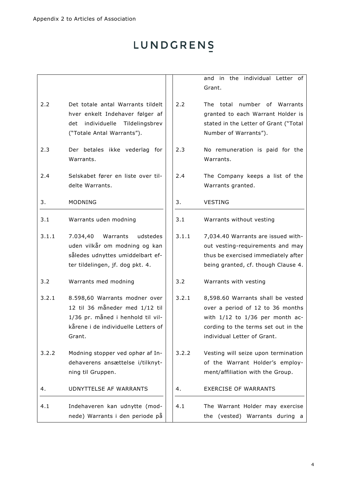<span id="page-3-2"></span><span id="page-3-1"></span><span id="page-3-0"></span>

|       |                                                                                                                                                       |       | in the individual Letter of<br>and<br>Grant.                                                                                                                                       |
|-------|-------------------------------------------------------------------------------------------------------------------------------------------------------|-------|------------------------------------------------------------------------------------------------------------------------------------------------------------------------------------|
| 2.2   | Det totale antal Warrants tildelt<br>hver enkelt Indehaver følger af<br>det individuelle Tildelingsbrev<br>("Totale Antal Warrants").                 | 2.2   | The total number of Warrants<br>granted to each Warrant Holder is<br>stated in the Letter of Grant ("Total<br>Number of Warrants").                                                |
| 2.3   | Der betales ikke vederlag for<br>Warrants.                                                                                                            | 2.3   | No remuneration is paid for the<br>Warrants.                                                                                                                                       |
| 2.4   | Selskabet fører en liste over til-<br>delte Warrants.                                                                                                 | 2.4   | The Company keeps a list of the<br>Warrants granted.                                                                                                                               |
| 3.    | MODNING                                                                                                                                               | 3.    | <b>VESTING</b>                                                                                                                                                                     |
| 3.1   | Warrants uden modning                                                                                                                                 | 3.1   | Warrants without vesting                                                                                                                                                           |
| 3.1.1 | 7.034,40<br>Warrants<br>udstedes<br>uden vilkår om modning og kan<br>således udnyttes umiddelbart ef-<br>ter tildelingen, jf. dog pkt. 4.             | 3.1.1 | 7,034.40 Warrants are issued with-<br>out vesting-requirements and may<br>thus be exercised immediately after<br>being granted, cf. though Clause 4.                               |
| 3.2   | Warrants med modning                                                                                                                                  | 3.2   | Warrants with vesting                                                                                                                                                              |
| 3.2.1 | 8.598,60 Warrants modner over<br>12 til 36 måneder med 1/12 til<br>1/36 pr. måned i henhold til vil-<br>kårene i de individuelle Letters of<br>Grant. | 3.2.1 | 8,598.60 Warrants shall be vested<br>over a period of 12 to 36 months<br>with $1/12$ to $1/36$ per month ac-<br>cording to the terms set out in the<br>individual Letter of Grant. |
| 3.2.2 | Modning stopper ved ophør af In-<br>dehaverens ansættelse i/tilknyt-<br>ning til Gruppen.                                                             | 3.2.2 | Vesting will seize upon termination<br>of the Warrant Holder's employ-<br>ment/affiliation with the Group.                                                                         |
| 4.    | UDNYTTELSE AF WARRANTS                                                                                                                                | 4.    | <b>EXERCISE OF WARRANTS</b>                                                                                                                                                        |
| 4.1   | Indehaveren kan udnytte (mod-<br>nede) Warrants i den periode på                                                                                      | 4.1   | The Warrant Holder may exercise<br>the (vested) Warrants during a                                                                                                                  |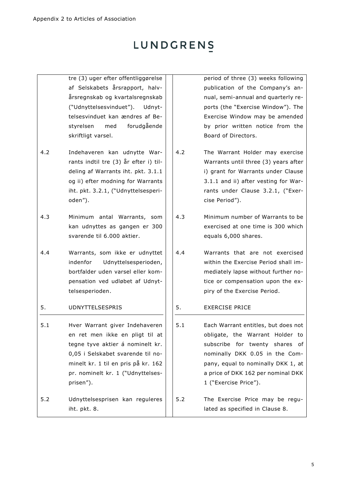- tre (3) uger efter offentliggørelse af Selskabets årsrapport, halvårsregnskab og kvartalsregnskab ("Udnyttelsesvinduet"). Udnyttelsesvinduet kan ændres af Bestyrelsen med forudgående skriftligt varsel.
- 4.2 Indehaveren kan udnytte Warrants indtil tre (3) år efter i) tildeling af Warrants iht. pkt. [3.1.1](#page-3-1) og ii) efter modning for Warrants iht. pkt. [3.2.1](#page-3-2), ("Udnyttelsesperioden").
- 4.3 Minimum antal Warrants, som kan udnyttes as gangen er 300 svarende til 6.000 aktier.
- 4.4 Warrants, som ikke er udnyttet indenfor Udnyttelsesperioden, bortfalder uden varsel eller kompensation ved udløbet af Udnyttelsesperioden.

### 5. UDNYTTELSESPRIS

- 5.1 Hver Warrant giver Indehaveren en ret men ikke en pligt til at tegne tyve aktier á nominelt kr. 0,05 i Selskabet svarende til nominelt kr. 1 til en pris på kr. 162 pr. nominelt kr. 1 ("Udnyttelsesprisen").
- 5.2 Udnyttelsesprisen kan reguleres iht. pkt. [8.](#page-6-0)

period of three (3) weeks following publication of the Company's annual, semi-annual and quarterly reports (the "Exercise Window"). The Exercise Window may be amended by prior written notice from the Board of Directors.

- 4.2 The Warrant Holder may exercise Warrants until three (3) years after i) grant for Warrants under Clause [3.1.1](#page-3-1) and ii) after vesting for Warrants under Clause [3.2.1,](#page-3-2) ("Exercise Period").
- 4.3 Minimum number of Warrants to be exercised at one time is 300 which equals 6,000 shares.
- 4.4 Warrants that are not exercised within the Exercise Period shall immediately lapse without further notice or compensation upon the expiry of the Exercise Period.
- <span id="page-4-0"></span>5. EXERCISE PRICE
- 5.1 Each Warrant entitles, but does not obligate, the Warrant Holder to subscribe for twenty shares of nominally DKK 0.05 in the Company, equal to nominally DKK 1, at a price of DKK 162 per nominal DKK 1 ("Exercise Price").
- 5.2 The Exercise Price may be regulated as specified in Clause [8.](#page-6-0)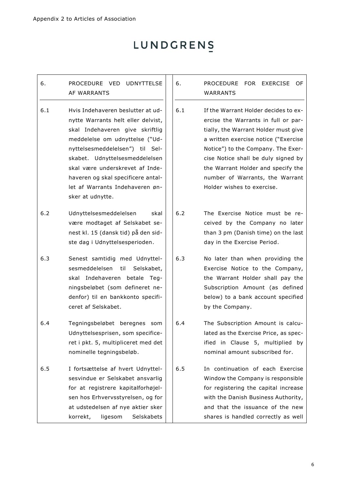### 6. PROCEDURE VED UDNYTTELSE AF WARRANTS

6.1 Hvis Indehaveren beslutter at udnytte Warrants helt eller delvist, skal Indehaveren give skriftlig meddelelse om udnyttelse ("Udnyttelsesmeddelelsen") til Selskabet. Udnyttelsesmeddelelsen skal være underskrevet af Indehaveren og skal specificere antallet af Warrants Indehaveren ønsker at udnytte.

6.2 Udnyttelsesmeddelelsen skal være modtaget af Selskabet senest kl. 15 (dansk tid) på den sidste dag i Udnyttelsesperioden.

- 6.3 Senest samtidig med Udnyttelsesmeddelelsen til Selskabet, skal Indehaveren betale Tegningsbeløbet (som defineret nedenfor) til en bankkonto specificeret af Selskabet.
- 6.4 Tegningsbeløbet beregnes som Udnyttelsesprisen, som specificeret i pkt. [5,](#page-4-0) multipliceret med det nominelle tegningsbeløb.

6.5 I fortsættelse af hvert Udnyttelsesvindue er Selskabet ansvarlig for at registrere kapitalforhøjelsen hos Erhvervsstyrelsen, og for at udstedelsen af nye aktier sker korrekt, ligesom Selskabets 6. PROCEDURE FOR EXERCISE OF WARRANTS

- 6.1 If the Warrant Holder decides to exercise the Warrants in full or partially, the Warrant Holder must give a written exercise notice ("Exercise Notice") to the Company. The Exercise Notice shall be duly signed by the Warrant Holder and specify the number of Warrants, the Warrant Holder wishes to exercise.
- 6.2 The Exercise Notice must be received by the Company no later than 3 pm (Danish time) on the last day in the Exercise Period.
- 6.3 No later than when providing the Exercise Notice to the Company, the Warrant Holder shall pay the Subscription Amount (as defined below) to a bank account specified by the Company.

6.4 The Subscription Amount is calculated as the Exercise Price, as specified in Clause [5,](#page-4-0) multiplied by nominal amount subscribed for.

6.5 In continuation of each Exercise Window the Company is responsible for registering the capital increase with the Danish Business Authority, and that the issuance of the new shares is handled correctly as well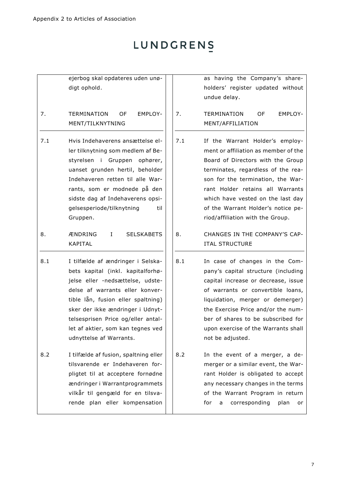ejerbog skal opdateres uden unødigt ophold.

### 7. TERMINATION OF EMPLOY-MENT/TILKNYTNING

- 7.1 Hvis Indehaverens ansættelse eller tilknytning som medlem af Bestyrelsen i Gruppen ophører, uanset grunden hertil, beholder Indehaveren retten til alle Warrants, som er modnede på den sidste dag af Indehaverens opsigelsesperiode/tilknytning til Gruppen.
- 8. ÆNDRING I SELSKABETS KAPITAL
- 8.1 I tilfælde af ændringer i Selskabets kapital (inkl. kapitalforhøjelse eller -nedsættelse, udstedelse af warrants eller konvertible lån, fusion eller spaltning) sker der ikke ændringer i Udnyttelsesprisen Price og/eller antallet af aktier, som kan tegnes ved udnyttelse af Warrants.
- 8.2 I tilfælde af fusion, spaltning eller tilsvarende er Indehaveren forpligtet til at acceptere fornødne ændringer i Warrantprogrammets vilkår til gengæld for en tilsvarende plan eller kompensation

as having the Company's shareholders' register updated without undue delay.

7. TERMINATION OF EMPLOY-MENT/AFFILIATION

- 7.1 If the Warrant Holder's employment or affiliation as member of the Board of Directors with the Group terminates, regardless of the reason for the termination, the Warrant Holder retains all Warrants which have vested on the last day of the Warrant Holder's notice period/affiliation with the Group.
- <span id="page-6-0"></span>8. CHANGES IN THE COMPANY'S CAP-ITAL STRUCTURE
- 8.1 In case of changes in the Company's capital structure (including capital increase or decrease, issue of warrants or convertible loans, liquidation, merger or demerger) the Exercise Price and/or the number of shares to be subscribed for upon exercise of the Warrants shall not be adjusted.
- 8.2 In the event of a merger, a demerger or a similar event, the Warrant Holder is obligated to accept any necessary changes in the terms of the Warrant Program in return for a corresponding plan or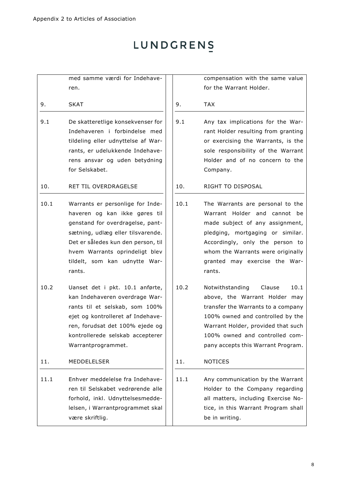med samme værdi for Indehaveren.

- 9. SKAT
- 9.1 De skatteretlige konsekvenser for Indehaveren i forbindelse med tildeling eller udnyttelse af Warrants, er udelukkende Indehaverens ansvar og uden betydning for Selskabet.

10. RET TIL OVERDRAGELSE

- 10.1 Warrants er personlige for Indehaveren og kan ikke gøres til genstand for overdragelse, pantsætning, udlæg eller tilsvarende. Det er således kun den person, til hvem Warrants oprindeligt blev tildelt, som kan udnytte Warrants.
- 10.2 Uanset det i pkt. [10.1](#page-7-0) anførte, kan Indehaveren overdrage Warrants til et selskab, som 100% ejet og kontrolleret af Indehaveren, forudsat det 100% ejede og kontrollerede selskab accepterer Warrantprogrammet.

11. MEDDELELSER

11.1 Enhver meddelelse fra Indehaveren til Selskabet vedrørende alle forhold, inkl. Udnyttelsesmeddelelsen, i Warrantprogrammet skal være skriftlig.

compensation with the same value for the Warrant Holder.

- 9. TAX
- 9.1 Any tax implications for the Warrant Holder resulting from granting or exercising the Warrants, is the sole responsibility of the Warrant Holder and of no concern to the Company.

### 10. RIGHT TO DISPOSAL

- <span id="page-7-0"></span>10.1 The Warrants are personal to the Warrant Holder and cannot be made subject of any assignment, pledging, mortgaging or similar. Accordingly, only the person to whom the Warrants were originally granted may exercise the Warrants.
- 10.2 Notwithstanding Clause [10.1](#page-7-0) above, the Warrant Holder may transfer the Warrants to a company 100% owned and controlled by the Warrant Holder, provided that such 100% owned and controlled company accepts this Warrant Program.

### 11. NOTICES

11.1 Any communication by the Warrant Holder to the Company regarding all matters, including Exercise Notice, in this Warrant Program shall be in writing.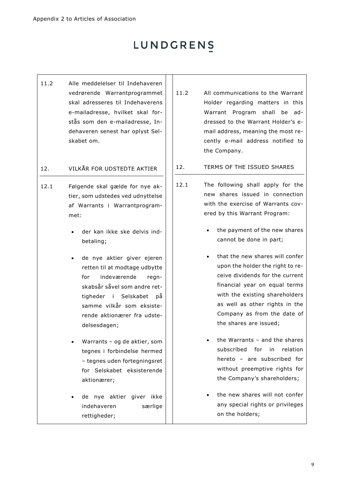11.2 Alle meddelelser til Indehaveren vedrørende Warrantprogrammet skal adresseres til Indehaverens e-mailadresse, hvilket skal forstås som den e-mailadresse, Indehaveren senest har oplyst Selskabet om.

### 12. VILKÅR FOR UDSTEDTE AKTIER

- 12.1 Følgende skal gælde for nye aktier, som udstedes ved udnyttelse af Warrants i Warrantprogrammet:
	- der kan ikke ske delvis indbetaling;
	- de nye aktier giver ejeren retten til at modtage udbytte for indeværende regnskabsår såvel som andre rettigheder i Selskabet på samme vilkår som eksisterende aktionærer fra udstedelsesdagen;
	- Warrants og de aktier, som tegnes i forbindelse hermed – tegnes uden fortegningsret for Selskabet eksisterende aktionærer;
	- de nye aktier giver ikke indehaveren særlige rettigheder;
- 11.2 All communications to the Warrant Holder regarding matters in this Warrant Program shall be addressed to the Warrant Holder's email address, meaning the most recently e-mail address notified to the Company.
- 12. TERMS OF THE ISSUED SHARES
- 12.1 The following shall apply for the new shares issued in connection with the exercise of Warrants covered by this Warrant Program:
	- the payment of the new shares cannot be done in part;
	- that the new shares will confer upon the holder the right to receive dividends for the current financial year on equal terms with the existing shareholders as well as other rights in the Company as from the date of the shares are issued;
	- the Warrants  $-$  and the shares subscribed for in relation hereto – are subscribed for without preemptive rights for the Company's shareholders;
	- the new shares will not confer any special rights or privileges on the holders;